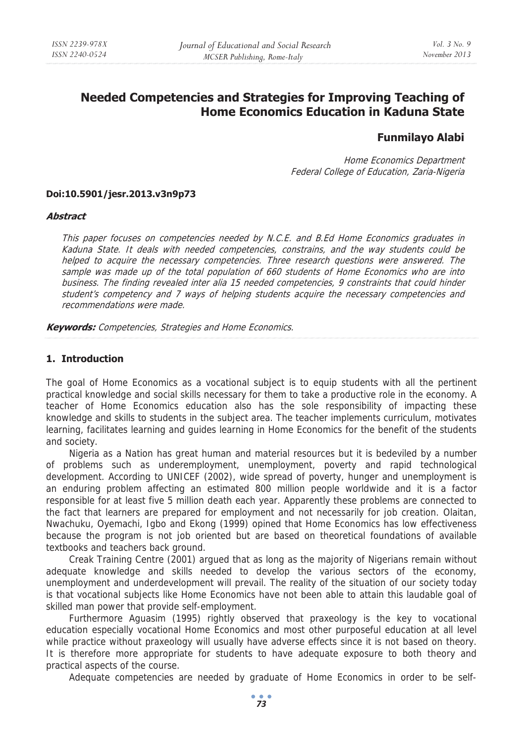# **Needed Competencies and Strategies for Improving Teaching of Home Economics Education in Kaduna State**

# **Funmilayo Alabi**

Home Economics Department Federal College of Education, Zaria-Nigeria

#### **Doi:10.5901/jesr.2013.v3n9p73**

#### **Abstract**

This paper focuses on competencies needed by N.C.E. and B.Ed Home Economics graduates in Kaduna State. It deals with needed competencies, constrains, and the way students could be helped to acquire the necessary competencies. Three research questions were answered. The sample was made up of the total population of 660 students of Home Economics who are into business. The finding revealed inter alia 15 needed competencies, 9 constraints that could hinder student's competency and 7 ways of helping students acquire the necessary competencies and recommendations were made.

**Keywords:** Competencies, Strategies and Home Economics.

#### **1. Introduction**

The goal of Home Economics as a vocational subject is to equip students with all the pertinent practical knowledge and social skills necessary for them to take a productive role in the economy. A teacher of Home Economics education also has the sole responsibility of impacting these knowledge and skills to students in the subject area. The teacher implements curriculum, motivates learning, facilitates learning and guides learning in Home Economics for the benefit of the students and society.

Nigeria as a Nation has great human and material resources but it is bedeviled by a number of problems such as underemployment, unemployment, poverty and rapid technological development. According to UNICEF (2002), wide spread of poverty, hunger and unemployment is an enduring problem affecting an estimated 800 million people worldwide and it is a factor responsible for at least five 5 million death each year. Apparently these problems are connected to the fact that learners are prepared for employment and not necessarily for job creation. Olaitan, Nwachuku, Oyemachi, Igbo and Ekong (1999) opined that Home Economics has low effectiveness because the program is not job oriented but are based on theoretical foundations of available textbooks and teachers back ground.

Creak Training Centre (2001) argued that as long as the majority of Nigerians remain without adequate knowledge and skills needed to develop the various sectors of the economy, unemployment and underdevelopment will prevail. The reality of the situation of our society today is that vocational subjects like Home Economics have not been able to attain this laudable goal of skilled man power that provide self-employment.

Furthermore Aguasim (1995) rightly observed that praxeology is the key to vocational education especially vocational Home Economics and most other purposeful education at all level while practice without praxeology will usually have adverse effects since it is not based on theory. It is therefore more appropriate for students to have adequate exposure to both theory and practical aspects of the course.

Adequate competencies are needed by graduate of Home Economics in order to be self-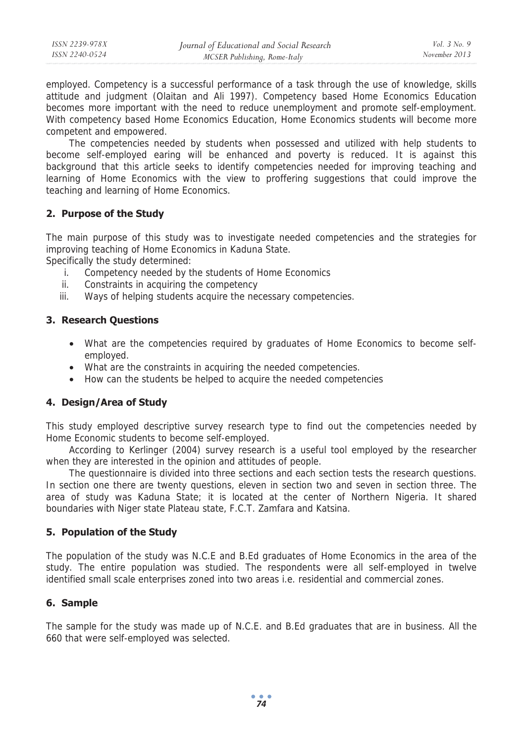employed. Competency is a successful performance of a task through the use of knowledge, skills attitude and judgment (Olaitan and Ali 1997). Competency based Home Economics Education becomes more important with the need to reduce unemployment and promote self-employment. With competency based Home Economics Education, Home Economics students will become more competent and empowered.

The competencies needed by students when possessed and utilized with help students to become self-employed earing will be enhanced and poverty is reduced. It is against this background that this article seeks to identify competencies needed for improving teaching and learning of Home Economics with the view to proffering suggestions that could improve the teaching and learning of Home Economics.

# **2. Purpose of the Study**

The main purpose of this study was to investigate needed competencies and the strategies for improving teaching of Home Economics in Kaduna State.

Specifically the study determined:

- i. Competency needed by the students of Home Economics
- ii. Constraints in acquiring the competency
- iii. Ways of helping students acquire the necessary competencies.

# **3. Research Questions**

- What are the competencies required by graduates of Home Economics to become selfemployed.
- What are the constraints in acquiring the needed competencies.
- How can the students be helped to acquire the needed competencies

# **4. Design/Area of Study**

This study employed descriptive survey research type to find out the competencies needed by Home Economic students to become self-employed.

According to Kerlinger (2004) survey research is a useful tool employed by the researcher when they are interested in the opinion and attitudes of people.

The questionnaire is divided into three sections and each section tests the research questions. In section one there are twenty questions, eleven in section two and seven in section three. The area of study was Kaduna State; it is located at the center of Northern Nigeria. It shared boundaries with Niger state Plateau state, F.C.T. Zamfara and Katsina.

### **5. Population of the Study**

The population of the study was N.C.E and B.Ed graduates of Home Economics in the area of the study. The entire population was studied. The respondents were all self-employed in twelve identified small scale enterprises zoned into two areas i.e. residential and commercial zones.

### **6. Sample**

The sample for the study was made up of N.C.E. and B.Ed graduates that are in business. All the 660 that were self-employed was selected.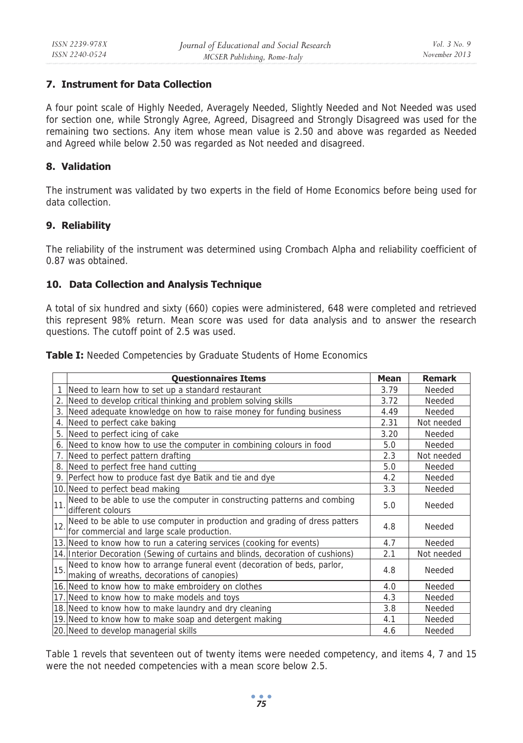# **7. Instrument for Data Collection**

A four point scale of Highly Needed, Averagely Needed, Slightly Needed and Not Needed was used for section one, while Strongly Agree, Agreed, Disagreed and Strongly Disagreed was used for the remaining two sections. Any item whose mean value is 2.50 and above was regarded as Needed and Agreed while below 2.50 was regarded as Not needed and disagreed.

### **8. Validation**

The instrument was validated by two experts in the field of Home Economics before being used for data collection.

# **9. Reliability**

The reliability of the instrument was determined using Crombach Alpha and reliability coefficient of 0.87 was obtained.

# **10. Data Collection and Analysis Technique**

A total of six hundred and sixty (660) copies were administered, 648 were completed and retrieved this represent 98% return. Mean score was used for data analysis and to answer the research questions. The cutoff point of 2.5 was used.

**Table I:** Needed Competencies by Graduate Students of Home Economics

|     | <b>Questionnaires Items</b>                                                                                                      | <b>Mean</b> | <b>Remark</b> |
|-----|----------------------------------------------------------------------------------------------------------------------------------|-------------|---------------|
|     | Need to learn how to set up a standard restaurant                                                                                | 3.79        | Needed        |
|     | 2. Need to develop critical thinking and problem solving skills                                                                  | 3.72        | Needed        |
| 3.  | Need adequate knowledge on how to raise money for funding business                                                               | 4.49        | Needed        |
| 4.  | Need to perfect cake baking                                                                                                      | 2.31        | Not needed    |
| 5.  | Need to perfect icing of cake                                                                                                    | 3.20        | Needed        |
| 6.  | Need to know how to use the computer in combining colours in food                                                                | 5.0         | Needed        |
|     | 7. Need to perfect pattern drafting                                                                                              | 2.3         | Not needed    |
| 8.  | Need to perfect free hand cutting                                                                                                | 5.0         | Needed        |
|     | 9. Perfect how to produce fast dye Batik and tie and dye                                                                         | 4.2         | Needed        |
|     | 10. Need to perfect bead making                                                                                                  | 3.3         | Needed        |
| 11. | Need to be able to use the computer in constructing patterns and combing<br>different colours                                    | 5.0         | Needed        |
|     | 12. Need to be able to use computer in production and grading of dress patters<br>12. for commercial and large scale production. | 4.8         | Needed        |
|     | 13. Need to know how to run a catering services (cooking for events)                                                             | 4.7         | Needed        |
|     | 14. Interior Decoration (Sewing of curtains and blinds, decoration of cushions)                                                  | 2.1         | Not needed    |
|     | 15. Need to know how to arrange funeral event (decoration of beds, parlor,<br>making of wreaths, decorations of canopies)        |             | Needed        |
|     | 16. Need to know how to make embroidery on clothes                                                                               | 4.0         | Needed        |
|     | 17. Need to know how to make models and toys                                                                                     | 4.3         | Needed        |
|     | 18. Need to know how to make laundry and dry cleaning                                                                            | 3.8         | Needed        |
|     | 19. Need to know how to make soap and detergent making                                                                           | 4.1         | Needed        |
|     | 20. Need to develop managerial skills                                                                                            | 4.6         | Needed        |

Table 1 revels that seventeen out of twenty items were needed competency, and items 4, 7 and 15 were the not needed competencies with a mean score below 2.5.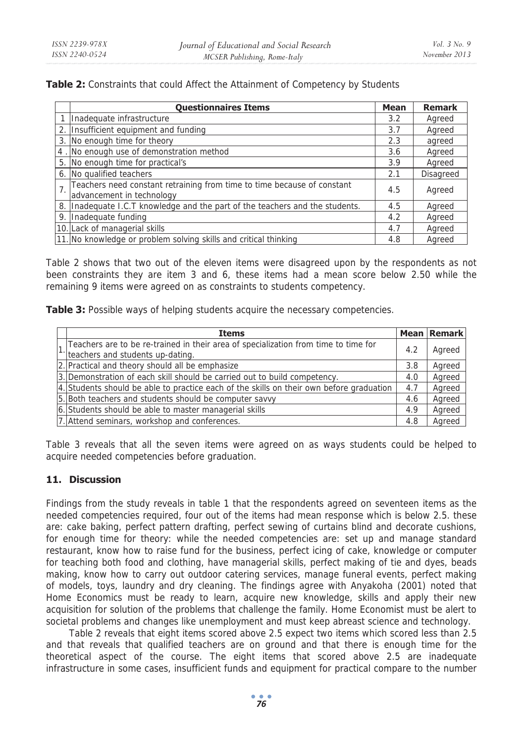### **Table 2:** Constraints that could Affect the Attainment of Competency by Students

|                | <b>Questionnaires Items</b>                                                                          | <b>Mean</b> | <b>Remark</b>    |
|----------------|------------------------------------------------------------------------------------------------------|-------------|------------------|
|                | Inadequate infrastructure                                                                            | 3.2         | Agreed           |
| 2.             | Insufficient equipment and funding                                                                   | 3.7         | Agreed           |
| 3.             | No enough time for theory                                                                            | 2.3         | agreed           |
| 4              | No enough use of demonstration method                                                                | 3.6         | Agreed           |
| 5.             | No enough time for practical's                                                                       | 3.9         | Agreed           |
| 6.             | No qualified teachers                                                                                | 2.1         | <b>Disagreed</b> |
| 7 <sub>1</sub> | Teachers need constant retraining from time to time because of constant<br>advancement in technology | 4.5         | Agreed           |
| 8.             | Inadequate I.C.T knowledge and the part of the teachers and the students.                            | 4.5         | Agreed           |
| 9.             | Inadequate funding                                                                                   | 4.2         | Agreed           |
|                | 10. Lack of managerial skills                                                                        | 4.7         | Agreed           |
|                | 11. No knowledge or problem solving skills and critical thinking                                     | 4.8         | Agreed           |

Table 2 shows that two out of the eleven items were disagreed upon by the respondents as not been constraints they are item 3 and 6, these items had a mean score below 2.50 while the remaining 9 items were agreed on as constraints to students competency.

Table 3: Possible ways of helping students acquire the necessary competencies.

|  | <b>Items</b>                                                                             |     | <b>Mean Remark</b> |
|--|------------------------------------------------------------------------------------------|-----|--------------------|
|  | 1 Teachers are to be re-trained in their area of specialization from time to time for    | 4.2 | Agreed             |
|  | lteachers and students up-dating.                                                        |     |                    |
|  | 2. Practical and theory should all be emphasize                                          | 3.8 | Agreed             |
|  | 3. Demonstration of each skill should be carried out to build competency.                | 4.0 | Agreed             |
|  | 4. Students should be able to practice each of the skills on their own before graduation | 4.7 | Agreed             |
|  | 5. Both teachers and students should be computer savvy                                   | 4.6 | Agreed             |
|  | 6. Students should be able to master managerial skills                                   | 4.9 | Agreed             |
|  | 7. Attend seminars, workshop and conferences.                                            | 4.8 | Agreed             |

Table 3 reveals that all the seven items were agreed on as ways students could be helped to acquire needed competencies before graduation.

# **11. Discussion**

Findings from the study reveals in table 1 that the respondents agreed on seventeen items as the needed competencies required, four out of the items had mean response which is below 2.5. these are: cake baking, perfect pattern drafting, perfect sewing of curtains blind and decorate cushions, for enough time for theory: while the needed competencies are: set up and manage standard restaurant, know how to raise fund for the business, perfect icing of cake, knowledge or computer for teaching both food and clothing, have managerial skills, perfect making of tie and dyes, beads making, know how to carry out outdoor catering services, manage funeral events, perfect making of models, toys, laundry and dry cleaning. The findings agree with Anyakoha (2001) noted that Home Economics must be ready to learn, acquire new knowledge, skills and apply their new acquisition for solution of the problems that challenge the family. Home Economist must be alert to societal problems and changes like unemployment and must keep abreast science and technology.

Table 2 reveals that eight items scored above 2.5 expect two items which scored less than 2.5 and that reveals that qualified teachers are on ground and that there is enough time for the theoretical aspect of the course. The eight items that scored above 2.5 are inadequate infrastructure in some cases, insufficient funds and equipment for practical compare to the number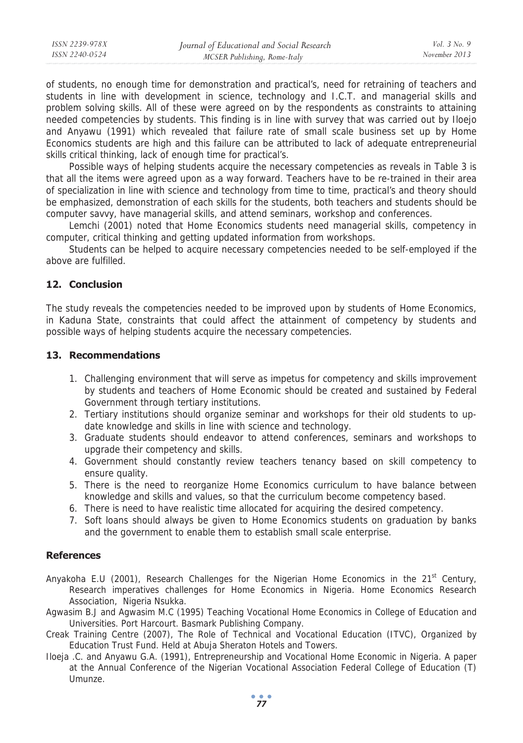| ISSN 2239-978X | Journal of Educational and Social Research | <i>Vol.</i> 3 No. 9 |
|----------------|--------------------------------------------|---------------------|
| ISSN 2240-0524 | MCSER Publishing, Rome-Italy               | November 2013       |
|                |                                            |                     |

of students, no enough time for demonstration and practical's, need for retraining of teachers and students in line with development in science, technology and I.C.T. and managerial skills and problem solving skills. All of these were agreed on by the respondents as constraints to attaining needed competencies by students. This finding is in line with survey that was carried out by Iloejo and Anyawu (1991) which revealed that failure rate of small scale business set up by Home Economics students are high and this failure can be attributed to lack of adequate entrepreneurial skills critical thinking, lack of enough time for practical's.

Possible ways of helping students acquire the necessary competencies as reveals in Table 3 is that all the items were agreed upon as a way forward. Teachers have to be re-trained in their area of specialization in line with science and technology from time to time, practical's and theory should be emphasized, demonstration of each skills for the students, both teachers and students should be computer savvy, have managerial skills, and attend seminars, workshop and conferences.

Lemchi (2001) noted that Home Economics students need managerial skills, competency in computer, critical thinking and getting updated information from workshops.

Students can be helped to acquire necessary competencies needed to be self-employed if the above are fulfilled.

### **12. Conclusion**

The study reveals the competencies needed to be improved upon by students of Home Economics, in Kaduna State, constraints that could affect the attainment of competency by students and possible ways of helping students acquire the necessary competencies.

### **13. Recommendations**

- 1. Challenging environment that will serve as impetus for competency and skills improvement by students and teachers of Home Economic should be created and sustained by Federal Government through tertiary institutions.
- 2. Tertiary institutions should organize seminar and workshops for their old students to update knowledge and skills in line with science and technology.
- 3. Graduate students should endeavor to attend conferences, seminars and workshops to upgrade their competency and skills.
- 4. Government should constantly review teachers tenancy based on skill competency to ensure quality.
- 5. There is the need to reorganize Home Economics curriculum to have balance between knowledge and skills and values, so that the curriculum become competency based.
- 6. There is need to have realistic time allocated for acquiring the desired competency.
- 7. Soft loans should always be given to Home Economics students on graduation by banks and the government to enable them to establish small scale enterprise.

#### **References**

- Anyakoha E.U (2001), Research Challenges for the Nigerian Home Economics in the  $21^{st}$  Century, Research imperatives challenges for Home Economics in Nigeria. Home Economics Research Association, Nigeria Nsukka.
- Agwasim B.J and Agwasim M.C (1995) Teaching Vocational Home Economics in College of Education and Universities. Port Harcourt. Basmark Publishing Company.
- Creak Training Centre (2007), The Role of Technical and Vocational Education (ITVC), Organized by Education Trust Fund. Held at Abuja Sheraton Hotels and Towers.
- Iloeja .C. and Anyawu G.A. (1991), Entrepreneurship and Vocational Home Economic in Nigeria. A paper at the Annual Conference of the Nigerian Vocational Association Federal College of Education (T) Umunze.